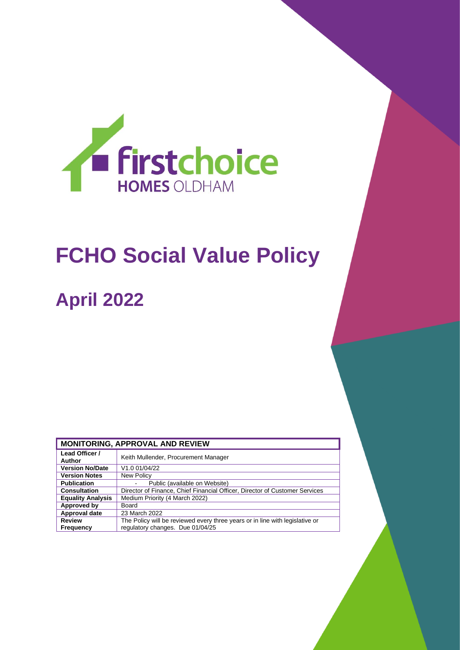

# **FCHO Social Value Policy**

## **April 2022**

| <b>MONITORING, APPROVAL AND REVIEW</b> |                                                                                                                  |  |
|----------------------------------------|------------------------------------------------------------------------------------------------------------------|--|
| Lead Officer /<br>Author               | Keith Mullender, Procurement Manager                                                                             |  |
| <b>Version No/Date</b>                 | V1.0 01/04/22                                                                                                    |  |
| <b>Version Notes</b>                   | New Policy                                                                                                       |  |
| <b>Publication</b>                     | Public (available on Website)                                                                                    |  |
| <b>Consultation</b>                    | Director of Finance, Chief Financial Officer, Director of Customer Services                                      |  |
| <b>Equality Analysis</b>               | Medium Priority (4 March 2022)                                                                                   |  |
| Approved by                            | Board                                                                                                            |  |
| Approval date                          | 23 March 2022                                                                                                    |  |
| <b>Review</b><br>Frequency             | The Policy will be reviewed every three years or in line with legislative or<br>regulatory changes. Due 01/04/25 |  |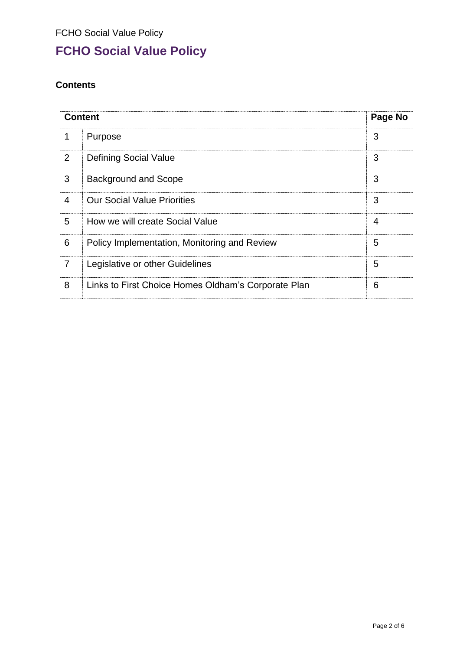## **FCHO Social Value Policy**

## **Contents**

| <b>Content</b> |                                                     | Page No        |
|----------------|-----------------------------------------------------|----------------|
| 1              | Purpose                                             | 3              |
| $\overline{2}$ | <b>Defining Social Value</b>                        | 3              |
| 3              | <b>Background and Scope</b>                         | 3              |
| 4              | <b>Our Social Value Priorities</b>                  | 3              |
| 5              | How we will create Social Value                     | $\overline{4}$ |
| 6              | Policy Implementation, Monitoring and Review        | 5              |
| $\overline{7}$ | Legislative or other Guidelines                     | 5              |
| 8              | Links to First Choice Homes Oldham's Corporate Plan | 6              |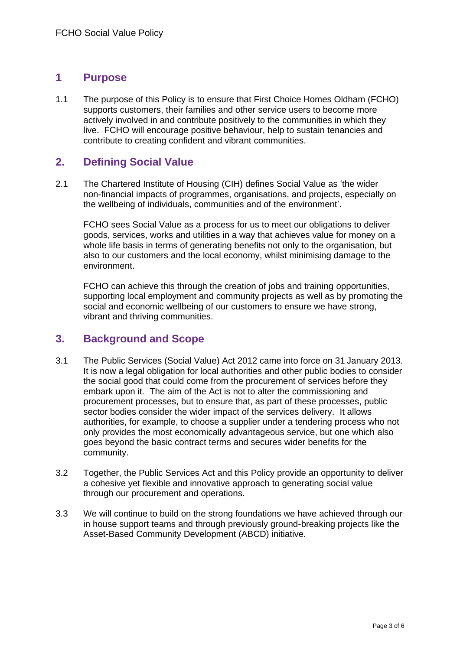### **1 Purpose**

1.1 The purpose of this Policy is to ensure that First Choice Homes Oldham (FCHO) supports customers, their families and other service users to become more actively involved in and contribute positively to the communities in which they live. FCHO will encourage positive behaviour, help to sustain tenancies and contribute to creating confident and vibrant communities.

## **2. Defining Social Value**

2.1 The Chartered Institute of Housing (CIH) defines Social Value as 'the wider non-financial impacts of programmes, organisations, and projects, especially on the wellbeing of individuals, communities and of the environment'.

FCHO sees Social Value as a process for us to meet our obligations to deliver goods, services, works and utilities in a way that achieves value for money on a whole life basis in terms of generating benefits not only to the organisation, but also to our customers and the local economy, whilst minimising damage to the environment.

FCHO can achieve this through the creation of jobs and training opportunities, supporting local employment and community projects as well as by promoting the social and economic wellbeing of our customers to ensure we have strong, vibrant and thriving communities.

#### **3. Background and Scope**

- 3.1 The Public Services (Social Value) Act 2012 came into force on 31 January 2013. It is now a legal obligation for local authorities and other public bodies to consider the social good that could come from the procurement of services before they embark upon it. The aim of the Act is not to alter the commissioning and procurement processes, but to ensure that, as part of these processes, public sector bodies consider the wider impact of the services delivery. It allows authorities, for example, to choose a supplier under a tendering process who not only provides the most economically advantageous service, but one which also goes beyond the basic contract terms and secures wider benefits for the community.
- 3.2 Together, the Public Services Act and this Policy provide an opportunity to deliver a cohesive yet flexible and innovative approach to generating social value through our procurement and operations.
- 3.3 We will continue to build on the strong foundations we have achieved through our in house support teams and through previously ground-breaking projects like the Asset-Based Community Development (ABCD) initiative.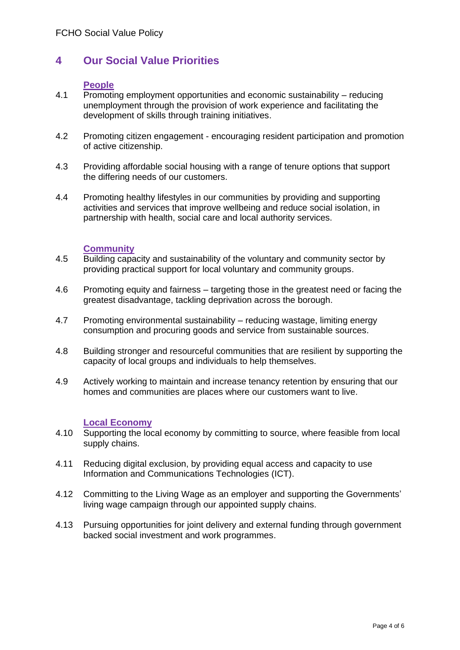## **4 Our Social Value Priorities**

#### **People**

- 4.1 Promoting employment opportunities and economic sustainability reducing unemployment through the provision of work experience and facilitating the development of skills through training initiatives.
- 4.2 Promoting citizen engagement encouraging resident participation and promotion of active citizenship.
- 4.3 Providing affordable social housing with a range of tenure options that support the differing needs of our customers.
- 4.4 Promoting healthy lifestyles in our communities by providing and supporting activities and services that improve wellbeing and reduce social isolation, in partnership with health, social care and local authority services.

#### **Community**

- 4.5 Building capacity and sustainability of the voluntary and community sector by providing practical support for local voluntary and community groups.
- 4.6 Promoting equity and fairness targeting those in the greatest need or facing the greatest disadvantage, tackling deprivation across the borough.
- 4.7 Promoting environmental sustainability reducing wastage, limiting energy consumption and procuring goods and service from sustainable sources.
- 4.8 Building stronger and resourceful communities that are resilient by supporting the capacity of local groups and individuals to help themselves.
- 4.9 Actively working to maintain and increase tenancy retention by ensuring that our homes and communities are places where our customers want to live.

#### **Local Economy**

- 4.10 Supporting the local economy by committing to source, where feasible from local supply chains.
- 4.11 Reducing digital exclusion, by providing equal access and capacity to use Information and Communications Technologies (ICT).
- 4.12 Committing to the Living Wage as an employer and supporting the Governments' living wage campaign through our appointed supply chains.
- 4.13 Pursuing opportunities for joint delivery and external funding through government backed social investment and work programmes.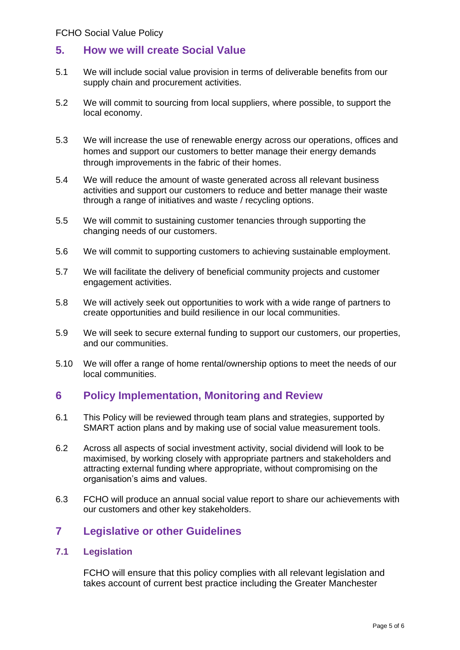## **5. How we will create Social Value**

- 5.1 We will include social value provision in terms of deliverable benefits from our supply chain and procurement activities.
- 5.2 We will commit to sourcing from local suppliers, where possible, to support the local economy.
- 5.3 We will increase the use of renewable energy across our operations, offices and homes and support our customers to better manage their energy demands through improvements in the fabric of their homes.
- 5.4 We will reduce the amount of waste generated across all relevant business activities and support our customers to reduce and better manage their waste through a range of initiatives and waste / recycling options.
- 5.5 We will commit to sustaining customer tenancies through supporting the changing needs of our customers.
- 5.6 We will commit to supporting customers to achieving sustainable employment.
- 5.7 We will facilitate the delivery of beneficial community projects and customer engagement activities.
- 5.8 We will actively seek out opportunities to work with a wide range of partners to create opportunities and build resilience in our local communities.
- 5.9 We will seek to secure external funding to support our customers, our properties, and our communities.
- 5.10 We will offer a range of home rental/ownership options to meet the needs of our local communities.

## **6 Policy Implementation, Monitoring and Review**

- 6.1 This Policy will be reviewed through team plans and strategies, supported by SMART action plans and by making use of social value measurement tools.
- 6.2 Across all aspects of social investment activity, social dividend will look to be maximised, by working closely with appropriate partners and stakeholders and attracting external funding where appropriate, without compromising on the organisation's aims and values.
- 6.3 FCHO will produce an annual social value report to share our achievements with our customers and other key stakeholders.

## **7 Legislative or other Guidelines**

#### **7.1 Legislation**

FCHO will ensure that this policy complies with all relevant legislation and takes account of current best practice including the Greater Manchester